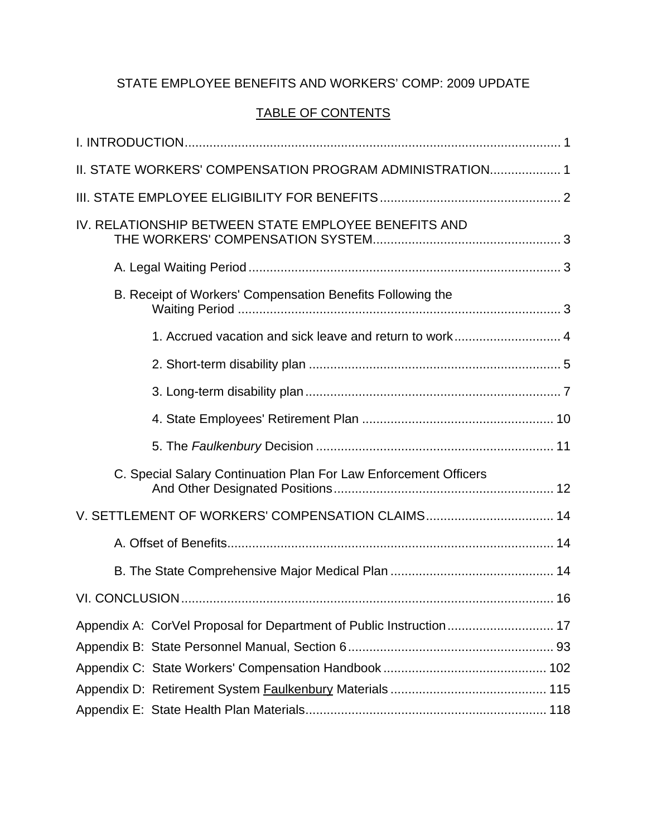# STATE EMPLOYEE BENEFITS AND WORKERS' COMP: 2009 UPDATE

# TABLE OF CONTENTS

|                                                  | II. STATE WORKERS' COMPENSATION PROGRAM ADMINISTRATION 1         |  |
|--------------------------------------------------|------------------------------------------------------------------|--|
|                                                  |                                                                  |  |
|                                                  | IV. RELATIONSHIP BETWEEN STATE EMPLOYEE BENEFITS AND             |  |
|                                                  |                                                                  |  |
|                                                  | B. Receipt of Workers' Compensation Benefits Following the       |  |
|                                                  |                                                                  |  |
|                                                  |                                                                  |  |
|                                                  |                                                                  |  |
|                                                  |                                                                  |  |
|                                                  |                                                                  |  |
|                                                  | C. Special Salary Continuation Plan For Law Enforcement Officers |  |
| V. SETTLEMENT OF WORKERS' COMPENSATION CLAIMS 14 |                                                                  |  |
|                                                  |                                                                  |  |
|                                                  |                                                                  |  |
|                                                  |                                                                  |  |
|                                                  |                                                                  |  |
|                                                  |                                                                  |  |
|                                                  |                                                                  |  |
|                                                  |                                                                  |  |
|                                                  |                                                                  |  |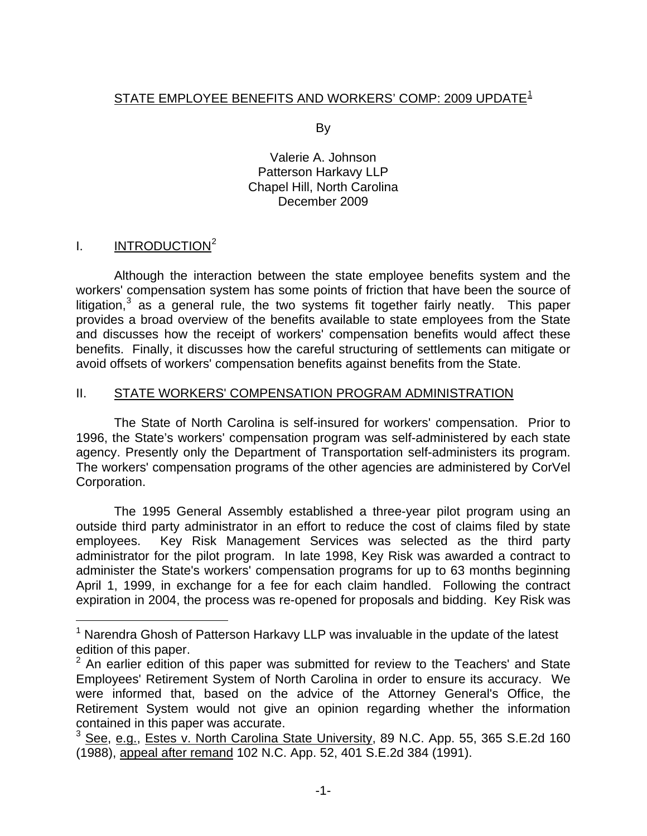# <span id="page-1-0"></span>STATE EMPLOYEE BENEFITS AND WORKERS' COMP: 2009 UPDATE<sup>[1](#page-1-1)</sup>

By

Valerie A. Johnson Patterson Harkavy LLP Chapel Hill, North Carolina December 2009

## I. INTRODUCTION<sup>[2](#page-1-2)</sup>

i<br>Li

 Although the interaction between the state employee benefits system and the workers' compensation system has some points of friction that have been the source of litigation, $3$  as a general rule, the two systems fit together fairly neatly. This paper provides a broad overview of the benefits available to state employees from the State and discusses how the receipt of workers' compensation benefits would affect these benefits. Finally, it discusses how the careful structuring of settlements can mitigate or avoid offsets of workers' compensation benefits against benefits from the State.

## II. STATE WORKERS' COMPENSATION PROGRAM ADMINISTRATION

 The State of North Carolina is self-insured for workers' compensation. Prior to 1996, the State's workers' compensation program was self-administered by each state agency. Presently only the Department of Transportation self-administers its program. The workers' compensation programs of the other agencies are administered by CorVel Corporation.

 The 1995 General Assembly established a three-year pilot program using an outside third party administrator in an effort to reduce the cost of claims filed by state employees. Key Risk Management Services was selected as the third party administrator for the pilot program. In late 1998, Key Risk was awarded a contract to administer the State's workers' compensation programs for up to 63 months beginning April 1, 1999, in exchange for a fee for each claim handled. Following the contract expiration in 2004, the process was re-opened for proposals and bidding. Key Risk was

<span id="page-1-1"></span> $1$  Narendra Ghosh of Patterson Harkavy LLP was invaluable in the update of the latest edition of this paper.

<span id="page-1-2"></span> $2$  An earlier edition of this paper was submitted for review to the Teachers' and State Employees' Retirement System of North Carolina in order to ensure its accuracy. We were informed that, based on the advice of the Attorney General's Office, the Retirement System would not give an opinion regarding whether the information contained in this paper was accurate.

<span id="page-1-3"></span><sup>&</sup>lt;sup>3</sup> See, e.g., Estes v. North Carolina State University, 89 N.C. App. 55, 365 S.E.2d 160 (1988), appeal after remand 102 N.C. App. 52, 401 S.E.2d 384 (1991).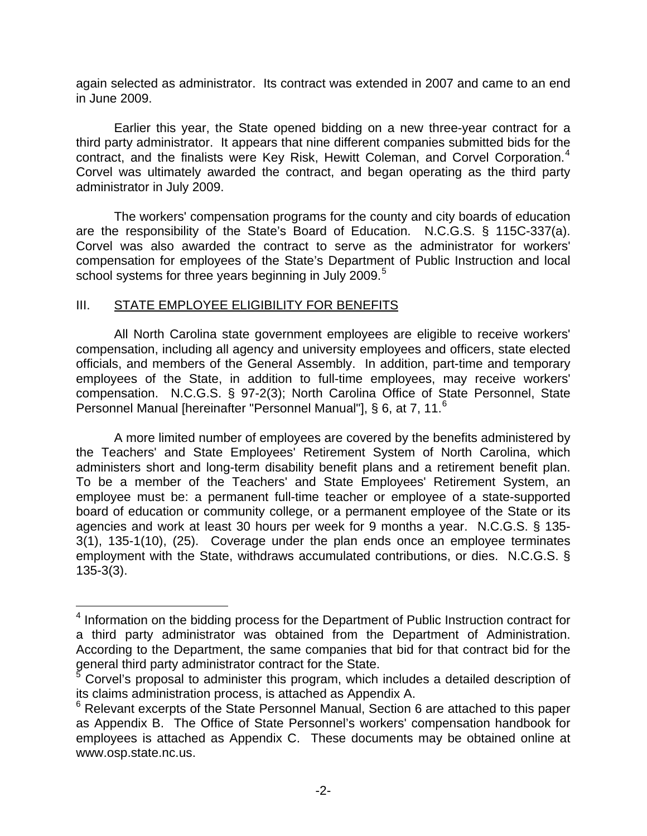<span id="page-2-0"></span>again selected as administrator. Its contract was extended in 2007 and came to an end in June 2009.

 Earlier this year, the State opened bidding on a new three-year contract for a third party administrator. It appears that nine different companies submitted bids for the contract, and the finalists were Key Risk, Hewitt Coleman, and Corvel Corporation. $4$ Corvel was ultimately awarded the contract, and began operating as the third party administrator in July 2009.

 The workers' compensation programs for the county and city boards of education are the responsibility of the State's Board of Education. N.C.G.S. § 115C-337(a). Corvel was also awarded the contract to serve as the administrator for workers' compensation for employees of the State's Department of Public Instruction and local school systems for three years beginning in July 2009.<sup>[5](#page-2-2)</sup>

#### III. STATE EMPLOYEE ELIGIBILITY FOR BENEFITS

i

 All North Carolina state government employees are eligible to receive workers' compensation, including all agency and university employees and officers, state elected officials, and members of the General Assembly. In addition, part-time and temporary employees of the State, in addition to full-time employees, may receive workers' compensation. N.C.G.S. § 97-2(3); North Carolina Office of State Personnel, State Personnel Manual [hereinafter "Personnel Manual"], § [6](#page-2-3), at 7, 11.<sup>6</sup>

 A more limited number of employees are covered by the benefits administered by the Teachers' and State Employees' Retirement System of North Carolina, which administers short and long-term disability benefit plans and a retirement benefit plan. To be a member of the Teachers' and State Employees' Retirement System, an employee must be: a permanent full-time teacher or employee of a state-supported board of education or community college, or a permanent employee of the State or its agencies and work at least 30 hours per week for 9 months a year. N.C.G.S. § 135- 3(1), 135-1(10), (25). Coverage under the plan ends once an employee terminates employment with the State, withdraws accumulated contributions, or dies. N.C.G.S. § 135-3(3).

<span id="page-2-1"></span><sup>&</sup>lt;sup>4</sup> Information on the bidding process for the Department of Public Instruction contract for a third party administrator was obtained from the Department of Administration. According to the Department, the same companies that bid for that contract bid for the general third party administrator contract for the State.<br><sup>5</sup> Contel's prepasel to administer this pregram, which

<span id="page-2-2"></span>Corvel's proposal to administer this program, which includes a detailed description of its claims administration process, is attached as Appendix A.

<span id="page-2-3"></span> $6$  Relevant excerpts of the State Personnel Manual, Section 6 are attached to this paper as Appendix B. The Office of State Personnel's workers' compensation handbook for employees is attached as Appendix C. These documents may be obtained online at www.osp.state.nc.us.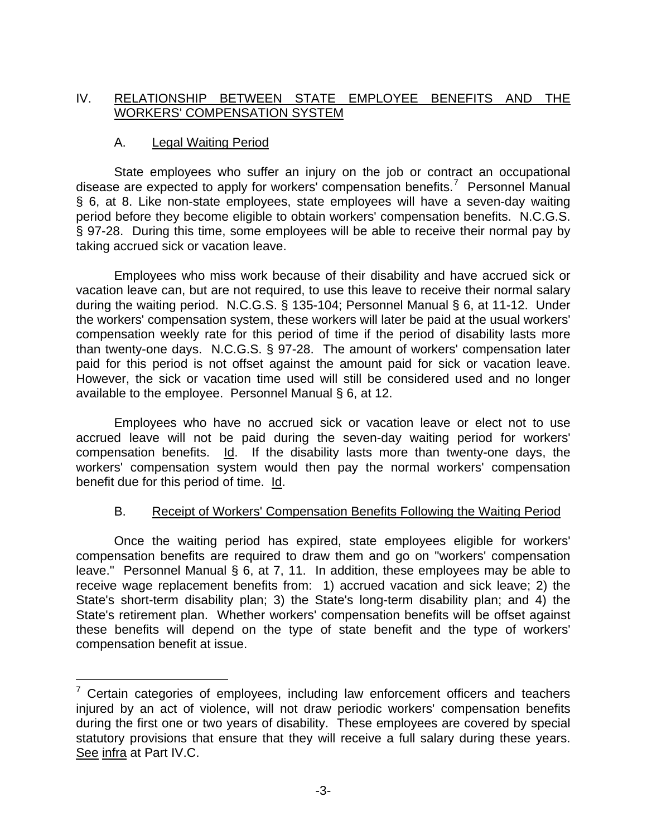## <span id="page-3-0"></span>IV. RELATIONSHIP BETWEEN STATE EMPLOYEE BENEFITS AND THE WORKERS' COMPENSATION SYSTEM

#### A. Legal Waiting Period

 $\overline{\phantom{0}}$ 

 State employees who suffer an injury on the job or contract an occupational disease are expected to apply for workers' compensation benefits.<sup>[7](#page-3-1)</sup> Personnel Manual § 6, at 8. Like non-state employees, state employees will have a seven-day waiting period before they become eligible to obtain workers' compensation benefits. N.C.G.S. § 97-28. During this time, some employees will be able to receive their normal pay by taking accrued sick or vacation leave.

 Employees who miss work because of their disability and have accrued sick or vacation leave can, but are not required, to use this leave to receive their normal salary during the waiting period. N.C.G.S. § 135-104; Personnel Manual § 6, at 11-12. Under the workers' compensation system, these workers will later be paid at the usual workers' compensation weekly rate for this period of time if the period of disability lasts more than twenty-one days. N.C.G.S. § 97-28. The amount of workers' compensation later paid for this period is not offset against the amount paid for sick or vacation leave. However, the sick or vacation time used will still be considered used and no longer available to the employee. Personnel Manual § 6, at 12.

 Employees who have no accrued sick or vacation leave or elect not to use accrued leave will not be paid during the seven-day waiting period for workers' compensation benefits. Id. If the disability lasts more than twenty-one days, the workers' compensation system would then pay the normal workers' compensation benefit due for this period of time. Id.

#### B. Receipt of Workers' Compensation Benefits Following the Waiting Period

 Once the waiting period has expired, state employees eligible for workers' compensation benefits are required to draw them and go on "workers' compensation leave." Personnel Manual § 6, at 7, 11. In addition, these employees may be able to receive wage replacement benefits from: 1) accrued vacation and sick leave; 2) the State's short-term disability plan; 3) the State's long-term disability plan; and 4) the State's retirement plan. Whether workers' compensation benefits will be offset against these benefits will depend on the type of state benefit and the type of workers' compensation benefit at issue.

<span id="page-3-1"></span> $7$  Certain categories of employees, including law enforcement officers and teachers injured by an act of violence, will not draw periodic workers' compensation benefits during the first one or two years of disability. These employees are covered by special statutory provisions that ensure that they will receive a full salary during these years. See infra at Part IV.C.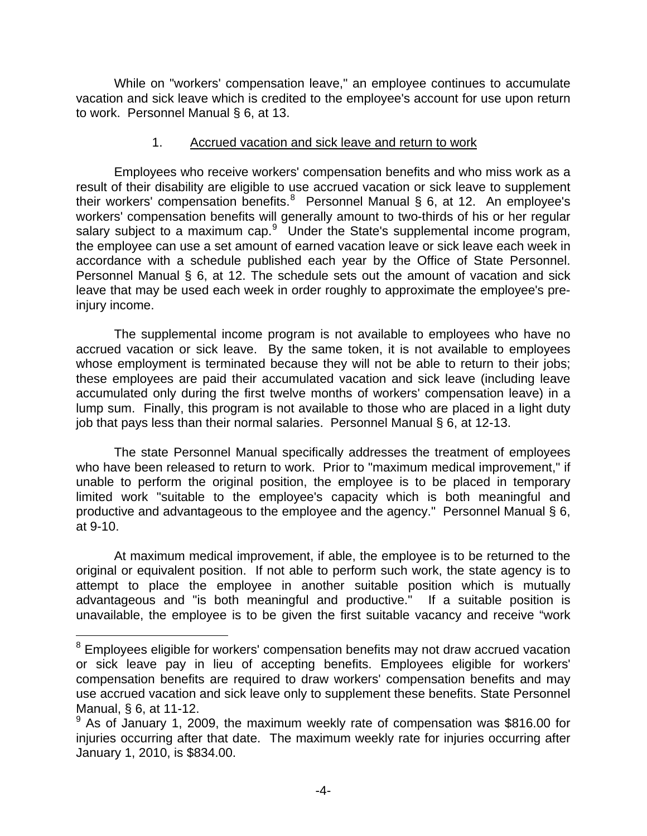<span id="page-4-0"></span> While on "workers' compensation leave," an employee continues to accumulate vacation and sick leave which is credited to the employee's account for use upon return to work. Personnel Manual § 6, at 13.

#### 1. Accrued vacation and sick leave and return to work

 Employees who receive workers' compensation benefits and who miss work as a result of their disability are eligible to use accrued vacation or sick leave to supplement their workers' compensation benefits.<sup>[8](#page-4-1)</sup> Personnel Manual § 6, at 12. An employee's workers' compensation benefits will generally amount to two-thirds of his or her regular salary subject to a maximum cap. $9$  Under the State's supplemental income program, the employee can use a set amount of earned vacation leave or sick leave each week in accordance with a schedule published each year by the Office of State Personnel. Personnel Manual § 6, at 12. The schedule sets out the amount of vacation and sick leave that may be used each week in order roughly to approximate the employee's preinjury income.

 The supplemental income program is not available to employees who have no accrued vacation or sick leave. By the same token, it is not available to employees whose employment is terminated because they will not be able to return to their jobs; these employees are paid their accumulated vacation and sick leave (including leave accumulated only during the first twelve months of workers' compensation leave) in a lump sum. Finally, this program is not available to those who are placed in a light duty job that pays less than their normal salaries. Personnel Manual § 6, at 12-13.

 The state Personnel Manual specifically addresses the treatment of employees who have been released to return to work. Prior to "maximum medical improvement," if unable to perform the original position, the employee is to be placed in temporary limited work "suitable to the employee's capacity which is both meaningful and productive and advantageous to the employee and the agency." Personnel Manual § 6, at 9-10.

 At maximum medical improvement, if able, the employee is to be returned to the original or equivalent position. If not able to perform such work, the state agency is to attempt to place the employee in another suitable position which is mutually advantageous and "is both meaningful and productive." If a suitable position is unavailable, the employee is to be given the first suitable vacancy and receive "work

<span id="page-4-1"></span> 8 Employees eligible for workers' compensation benefits may not draw accrued vacation or sick leave pay in lieu of accepting benefits. Employees eligible for workers' compensation benefits are required to draw workers' compensation benefits and may use accrued vacation and sick leave only to supplement these benefits. State Personnel Manual, § 6, at 11-12.

<span id="page-4-2"></span><sup>&</sup>lt;sup>9</sup> As of January 1, 2009, the maximum weekly rate of compensation was \$816.00 for injuries occurring after that date. The maximum weekly rate for injuries occurring after January 1, 2010, is \$834.00.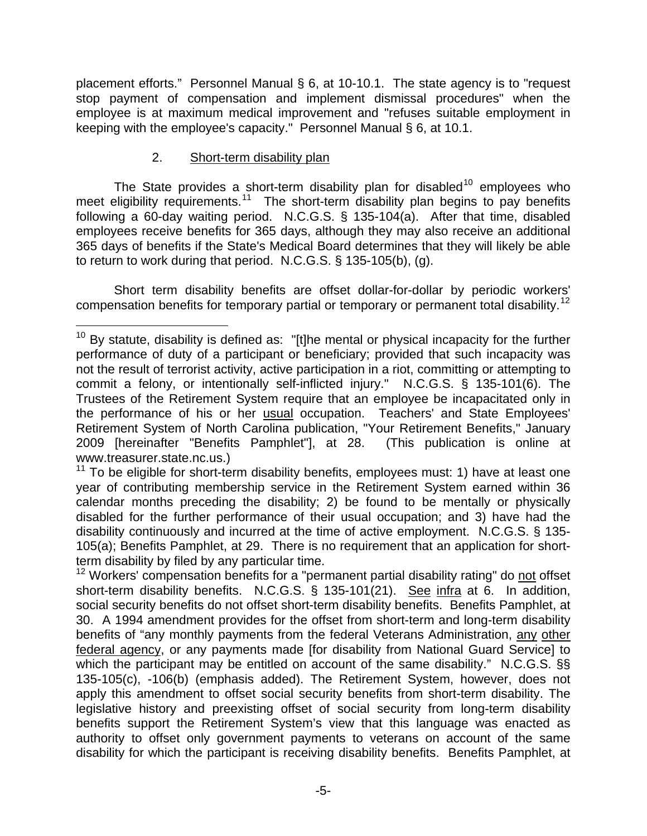<span id="page-5-0"></span>placement efforts." Personnel Manual § 6, at 10-10.1. The state agency is to "request stop payment of compensation and implement dismissal procedures" when the employee is at maximum medical improvement and "refuses suitable employment in keeping with the employee's capacity." Personnel Manual § 6, at 10.1.

#### 2. Short-term disability plan

The State provides a short-term disability plan for disabled<sup>[10](#page-5-1)</sup> employees who meet eligibility requirements.<sup>[11](#page-5-2)</sup> The short-term disability plan begins to pay benefits following a 60-day waiting period. N.C.G.S. § 135-104(a). After that time, disabled employees receive benefits for 365 days, although they may also receive an additional 365 days of benefits if the State's Medical Board determines that they will likely be able to return to work during that period. N.C.G.S. § 135-105(b), (g).

 Short term disability benefits are offset dollar-for-dollar by periodic workers' compensation benefits for temporary partial or temporary or permanent total disability.[12](#page-5-3)

<span id="page-5-1"></span> $\overline{\phantom{0}}$  $10$  By statute, disability is defined as: "[t]he mental or physical incapacity for the further performance of duty of a participant or beneficiary; provided that such incapacity was not the result of terrorist activity, active participation in a riot, committing or attempting to commit a felony, or intentionally self-inflicted injury." N.C.G.S. § 135-101(6). The Trustees of the Retirement System require that an employee be incapacitated only in the performance of his or her usual occupation. Teachers' and State Employees' Retirement System of North Carolina publication, "Your Retirement Benefits," January 2009 [hereinafter "Benefits Pamphlet"], at 28. (This publication is online at www.treasurer.state.nc.us.)

<span id="page-5-2"></span> $11$  To be eligible for short-term disability benefits, employees must: 1) have at least one year of contributing membership service in the Retirement System earned within 36 calendar months preceding the disability; 2) be found to be mentally or physically disabled for the further performance of their usual occupation; and 3) have had the disability continuously and incurred at the time of active employment. N.C.G.S. § 135- 105(a); Benefits Pamphlet, at 29. There is no requirement that an application for shortterm disability by filed by any particular time.

<span id="page-5-3"></span> $12$  Workers' compensation benefits for a "permanent partial disability rating" do not offset short-term disability benefits. N.C.G.S. § 135-101(21). See infra at 6. In addition, social security benefits do not offset short-term disability benefits. Benefits Pamphlet, at 30. A 1994 amendment provides for the offset from short-term and long-term disability benefits of "any monthly payments from the federal Veterans Administration, any other federal agency, or any payments made [for disability from National Guard Service] to which the participant may be entitled on account of the same disability." N.C.G.S. §§ 135-105(c), -106(b) (emphasis added). The Retirement System, however, does not apply this amendment to offset social security benefits from short-term disability. The legislative history and preexisting offset of social security from long-term disability benefits support the Retirement System's view that this language was enacted as authority to offset only government payments to veterans on account of the same disability for which the participant is receiving disability benefits. Benefits Pamphlet, at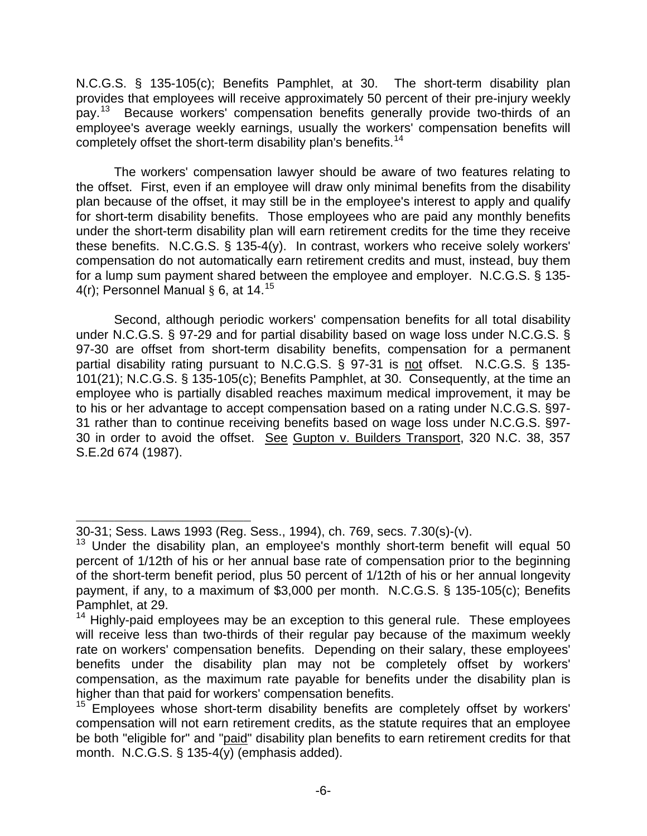N.C.G.S. § 135-105(c); Benefits Pamphlet, at 30. The short-term disability plan provides that employees will receive approximately 50 percent of their pre-injury weekly pay.<sup>[13](#page-6-0)</sup> Because workers' compensation benefits generally provide two-thirds of an employee's average weekly earnings, usually the workers' compensation benefits will completely offset the short-term disability plan's benefits.<sup>[14](#page-6-1)</sup>

 The workers' compensation lawyer should be aware of two features relating to the offset. First, even if an employee will draw only minimal benefits from the disability plan because of the offset, it may still be in the employee's interest to apply and qualify for short-term disability benefits. Those employees who are paid any monthly benefits under the short-term disability plan will earn retirement credits for the time they receive these benefits. N.C.G.S. § 135-4(y). In contrast, workers who receive solely workers' compensation do not automatically earn retirement credits and must, instead, buy them for a lump sum payment shared between the employee and employer. N.C.G.S. § 135- 4(r); Personnel Manual § 6, at 14.<sup>[15](#page-6-2)</sup>

 Second, although periodic workers' compensation benefits for all total disability under N.C.G.S. § 97-29 and for partial disability based on wage loss under N.C.G.S. § 97-30 are offset from short-term disability benefits, compensation for a permanent partial disability rating pursuant to N.C.G.S. § 97-31 is not offset. N.C.G.S. § 135- 101(21); N.C.G.S. § 135-105(c); Benefits Pamphlet, at 30. Consequently, at the time an employee who is partially disabled reaches maximum medical improvement, it may be to his or her advantage to accept compensation based on a rating under N.C.G.S. §97- 31 rather than to continue receiving benefits based on wage loss under N.C.G.S. §97- 30 in order to avoid the offset. See Gupton v. Builders Transport, 320 N.C. 38, 357 S.E.2d 674 (1987).

\_\_\_\_\_\_\_\_\_\_\_\_\_\_\_\_\_\_\_\_\_\_\_

<sup>30-31;</sup> Sess. Laws 1993 (Reg. Sess., 1994), ch. 769, secs. 7.30(s)-(v).

<span id="page-6-0"></span> $13$  Under the disability plan, an employee's monthly short-term benefit will equal 50 percent of 1/12th of his or her annual base rate of compensation prior to the beginning of the short-term benefit period, plus 50 percent of 1/12th of his or her annual longevity payment, if any, to a maximum of \$3,000 per month. N.C.G.S. § 135-105(c); Benefits Pamphlet, at 29.

<span id="page-6-1"></span><sup>&</sup>lt;sup>14</sup> Highly-paid employees may be an exception to this general rule. These employees will receive less than two-thirds of their regular pay because of the maximum weekly rate on workers' compensation benefits. Depending on their salary, these employees' benefits under the disability plan may not be completely offset by workers' compensation, as the maximum rate payable for benefits under the disability plan is higher than that paid for workers' compensation benefits.

<span id="page-6-2"></span> $15$  Employees whose short-term disability benefits are completely offset by workers' compensation will not earn retirement credits, as the statute requires that an employee be both "eligible for" and "paid" disability plan benefits to earn retirement credits for that month. N.C.G.S. § 135-4(y) (emphasis added).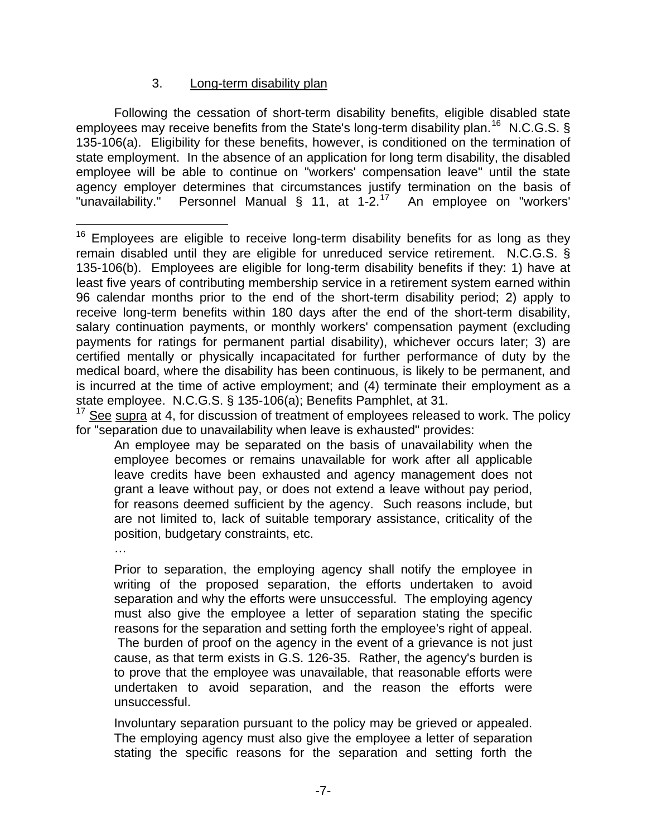#### 3. Long-term disability plan

<span id="page-7-0"></span> Following the cessation of short-term disability benefits, eligible disabled state employees may receive benefits from the State's long-term disability plan.<sup>[16](#page-7-1)</sup> N.C.G.S. § 135-106(a). Eligibility for these benefits, however, is conditioned on the termination of state employment. In the absence of an application for long term disability, the disabled employee will be able to continue on "workers' compensation leave" until the state agency employer determines that circumstances justify termination on the basis of "unavailability." Personnel Manual § 11, at  $1-2.17$  $1-2.17$  An employee on "workers'

<span id="page-7-2"></span> $17$  See supra at 4, for discussion of treatment of employees released to work. The policy for "separation due to unavailability when leave is exhausted" provides:

An employee may be separated on the basis of unavailability when the employee becomes or remains unavailable for work after all applicable leave credits have been exhausted and agency management does not grant a leave without pay, or does not extend a leave without pay period, for reasons deemed sufficient by the agency. Such reasons include, but are not limited to, lack of suitable temporary assistance, criticality of the position, budgetary constraints, etc.

…

Prior to separation, the employing agency shall notify the employee in writing of the proposed separation, the efforts undertaken to avoid separation and why the efforts were unsuccessful. The employing agency must also give the employee a letter of separation stating the specific reasons for the separation and setting forth the employee's right of appeal. The burden of proof on the agency in the event of a grievance is not just cause, as that term exists in G.S. 126-35. Rather, the agency's burden is to prove that the employee was unavailable, that reasonable efforts were undertaken to avoid separation, and the reason the efforts were unsuccessful.

Involuntary separation pursuant to the policy may be grieved or appealed. The employing agency must also give the employee a letter of separation stating the specific reasons for the separation and setting forth the

<span id="page-7-1"></span>i  $16$  Employees are eligible to receive long-term disability benefits for as long as they remain disabled until they are eligible for unreduced service retirement. N.C.G.S. § 135-106(b). Employees are eligible for long-term disability benefits if they: 1) have at least five years of contributing membership service in a retirement system earned within 96 calendar months prior to the end of the short-term disability period; 2) apply to receive long-term benefits within 180 days after the end of the short-term disability, salary continuation payments, or monthly workers' compensation payment (excluding payments for ratings for permanent partial disability), whichever occurs later; 3) are certified mentally or physically incapacitated for further performance of duty by the medical board, where the disability has been continuous, is likely to be permanent, and is incurred at the time of active employment; and (4) terminate their employment as a state employee. N.C.G.S. § 135-106(a); Benefits Pamphlet, at 31.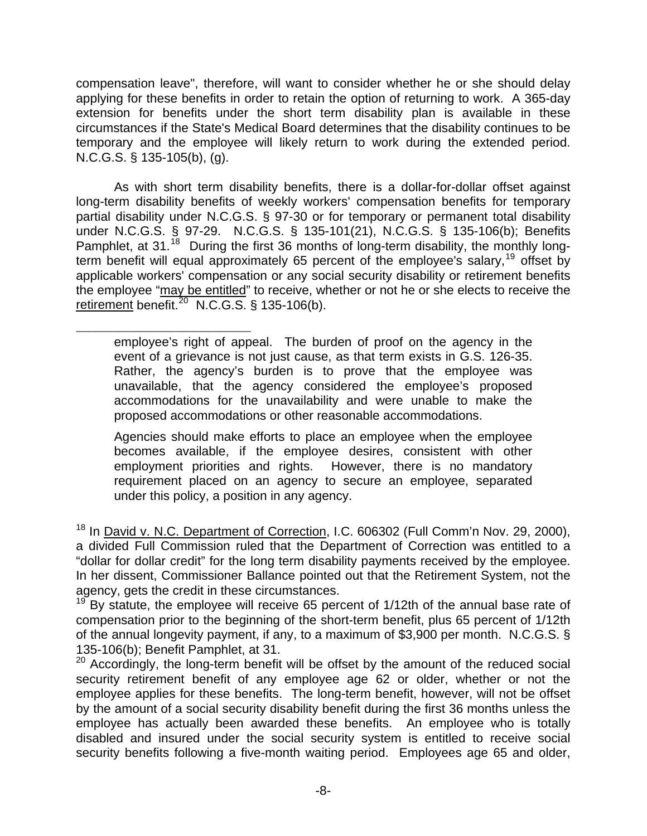compensation leave", therefore, will want to consider whether he or she should delay applying for these benefits in order to retain the option of returning to work. A 365-day extension for benefits under the short term disability plan is available in these circumstances if the State's Medical Board determines that the disability continues to be temporary and the employee will likely return to work during the extended period. N.C.G.S. § 135-105(b), (g).

 As with short term disability benefits, there is a dollar-for-dollar offset against long-term disability benefits of weekly workers' compensation benefits for temporary partial disability under N.C.G.S. § 97-30 or for temporary or permanent total disability under N.C.G.S. § 97-29. N.C.G.S. § 135-101(21), N.C.G.S. § 135-106(b); Benefits Pamphlet, at 31.<sup>[18](#page-8-0)</sup> During the first 36 months of long-term disability, the monthly longterm benefit will equal approximately 65 percent of the employee's salary,[19](#page-8-1) offset by applicable workers' compensation or any social security disability or retirement benefits the employee "may be entitled" to receive, whether or not he or she elects to receive the retirement benefit.<sup>[20](#page-8-2)</sup> N.C.G.S. § 135-106(b).

\_\_\_\_\_\_\_\_\_\_\_\_\_\_\_\_\_\_\_\_\_\_\_ employee's right of appeal. The burden of proof on the agency in the event of a grievance is not just cause, as that term exists in G.S. 126-35. Rather, the agency's burden is to prove that the employee was unavailable, that the agency considered the employee's proposed accommodations for the unavailability and were unable to make the proposed accommodations or other reasonable accommodations.

Agencies should make efforts to place an employee when the employee becomes available, if the employee desires, consistent with other employment priorities and rights. However, there is no mandatory requirement placed on an agency to secure an employee, separated under this policy, a position in any agency.

<span id="page-8-0"></span><sup>18</sup> In David v. N.C. Department of Correction, I.C. 606302 (Full Comm'n Nov. 29, 2000), a divided Full Commission ruled that the Department of Correction was entitled to a "dollar for dollar credit" for the long term disability payments received by the employee. In her dissent, Commissioner Ballance pointed out that the Retirement System, not the agency, gets the credit in these circumstances.

<span id="page-8-1"></span> $19^{19}$  By statute, the employee will receive 65 percent of 1/12th of the annual base rate of compensation prior to the beginning of the short-term benefit, plus 65 percent of 1/12th of the annual longevity payment, if any, to a maximum of \$3,900 per month. N.C.G.S. § 135-106(b); Benefit Pamphlet, at 31.

<span id="page-8-2"></span> $20$  Accordingly, the long-term benefit will be offset by the amount of the reduced social security retirement benefit of any employee age 62 or older, whether or not the employee applies for these benefits. The long-term benefit, however, will not be offset by the amount of a social security disability benefit during the first 36 months unless the employee has actually been awarded these benefits. An employee who is totally disabled and insured under the social security system is entitled to receive social security benefits following a five-month waiting period. Employees age 65 and older,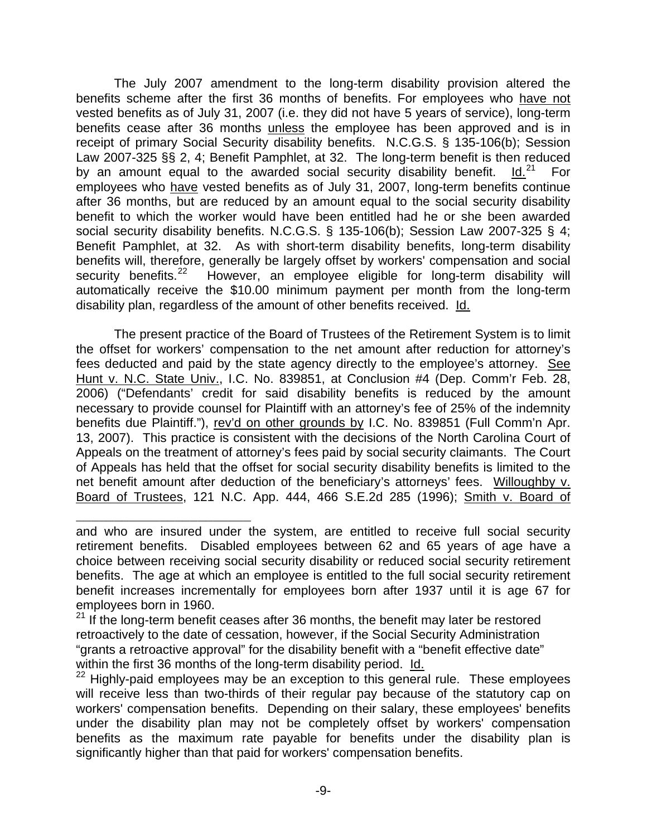The July 2007 amendment to the long-term disability provision altered the benefits scheme after the first 36 months of benefits. For employees who have not vested benefits as of July 31, 2007 (i.e. they did not have 5 years of service), long-term benefits cease after 36 months unless the employee has been approved and is in receipt of primary Social Security disability benefits. N.C.G.S. § 135-106(b); Session Law 2007-325 §§ 2, 4; Benefit Pamphlet, at 32. The long-term benefit is then reduced by an amount equal to the awarded social security disability benefit.  $Id.<sup>21</sup>$  $Id.<sup>21</sup>$  $Id.<sup>21</sup>$  For employees who have vested benefits as of July 31, 2007, long-term benefits continue after 36 months, but are reduced by an amount equal to the social security disability benefit to which the worker would have been entitled had he or she been awarded social security disability benefits. N.C.G.S. § 135-106(b); Session Law 2007-325 § 4; Benefit Pamphlet, at 32. As with short-term disability benefits, long-term disability benefits will, therefore, generally be largely offset by workers' compensation and social security benefits.<sup>[22](#page-9-1)</sup> However, an employee eligible for long-term disability will automatically receive the \$10.00 minimum payment per month from the long-term disability plan, regardless of the amount of other benefits received. Id.

 The present practice of the Board of Trustees of the Retirement System is to limit the offset for workers' compensation to the net amount after reduction for attorney's fees deducted and paid by the state agency directly to the employee's attorney. See Hunt v. N.C. State Univ., I.C. No. 839851, at Conclusion #4 (Dep. Comm'r Feb. 28, 2006) ("Defendants' credit for said disability benefits is reduced by the amount necessary to provide counsel for Plaintiff with an attorney's fee of 25% of the indemnity benefits due Plaintiff."), rev'd on other grounds by I.C. No. 839851 (Full Comm'n Apr. 13, 2007). This practice is consistent with the decisions of the North Carolina Court of Appeals on the treatment of attorney's fees paid by social security claimants. The Court of Appeals has held that the offset for social security disability benefits is limited to the net benefit amount after deduction of the beneficiary's attorneys' fees. Willoughby v. Board of Trustees, 121 N.C. App. 444, 466 S.E.2d 285 (1996); Smith v. Board of

\_\_\_\_\_\_\_\_\_\_\_\_\_\_\_\_\_\_\_\_\_\_\_

and who are insured under the system, are entitled to receive full social security retirement benefits. Disabled employees between 62 and 65 years of age have a choice between receiving social security disability or reduced social security retirement benefits. The age at which an employee is entitled to the full social security retirement benefit increases incrementally for employees born after 1937 until it is age 67 for employees born in 1960.

<span id="page-9-0"></span><sup>&</sup>lt;sup>21</sup> If the long-term benefit ceases after 36 months, the benefit may later be restored retroactively to the date of cessation, however, if the Social Security Administration "grants a retroactive approval" for the disability benefit with a "benefit effective date" within the first 36 months of the long-term disability period.  $\underline{\mathsf{Id}}$ .<br><sup>22</sup> Highly-paid employees may be an exception to this general rule. These employees

<span id="page-9-1"></span>will receive less than two-thirds of their regular pay because of the statutory cap on workers' compensation benefits. Depending on their salary, these employees' benefits under the disability plan may not be completely offset by workers' compensation benefits as the maximum rate payable for benefits under the disability plan is significantly higher than that paid for workers' compensation benefits.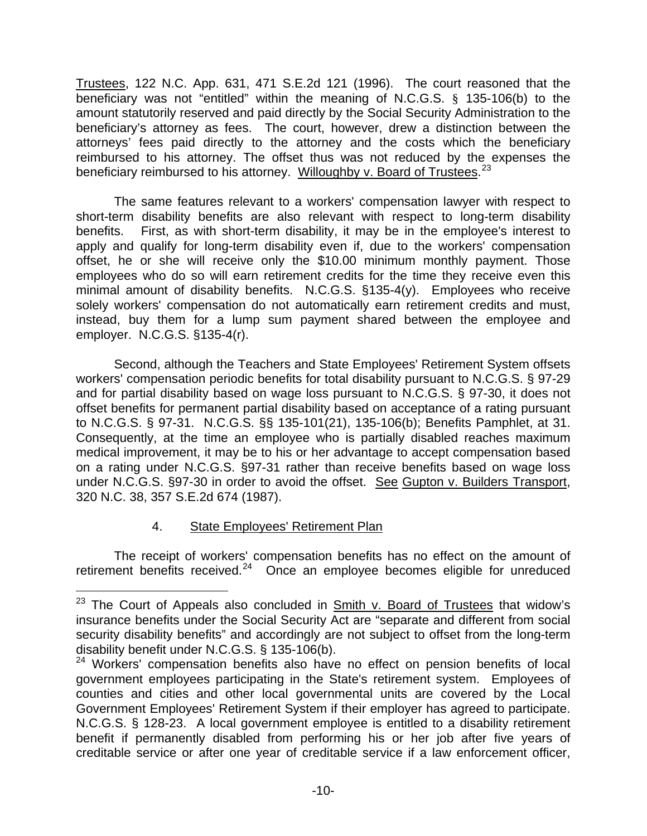<span id="page-10-0"></span>Trustees, 122 N.C. App. 631, 471 S.E.2d 121 (1996). The court reasoned that the beneficiary was not "entitled" within the meaning of N.C.G.S. § 135-106(b) to the amount statutorily reserved and paid directly by the Social Security Administration to the beneficiary's attorney as fees. The court, however, drew a distinction between the attorneys' fees paid directly to the attorney and the costs which the beneficiary reimbursed to his attorney. The offset thus was not reduced by the expenses the beneficiary reimbursed to his attorney. Willoughby v. Board of Trustees.<sup>[23](#page-10-1)</sup>

 The same features relevant to a workers' compensation lawyer with respect to short-term disability benefits are also relevant with respect to long-term disability benefits. First, as with short-term disability, it may be in the employee's interest to apply and qualify for long-term disability even if, due to the workers' compensation offset, he or she will receive only the \$10.00 minimum monthly payment. Those employees who do so will earn retirement credits for the time they receive even this minimal amount of disability benefits. N.C.G.S. §135-4(y). Employees who receive solely workers' compensation do not automatically earn retirement credits and must, instead, buy them for a lump sum payment shared between the employee and employer. N.C.G.S. §135-4(r).

 Second, although the Teachers and State Employees' Retirement System offsets workers' compensation periodic benefits for total disability pursuant to N.C.G.S. § 97-29 and for partial disability based on wage loss pursuant to N.C.G.S. § 97-30, it does not offset benefits for permanent partial disability based on acceptance of a rating pursuant to N.C.G.S. § 97-31. N.C.G.S. §§ 135-101(21), 135-106(b); Benefits Pamphlet, at 31. Consequently, at the time an employee who is partially disabled reaches maximum medical improvement, it may be to his or her advantage to accept compensation based on a rating under N.C.G.S. §97-31 rather than receive benefits based on wage loss under N.C.G.S. §97-30 in order to avoid the offset. See Gupton v. Builders Transport, 320 N.C. 38, 357 S.E.2d 674 (1987).

## 4. State Employees' Retirement Plan

i

 The receipt of workers' compensation benefits has no effect on the amount of retirement benefits received.<sup>[24](#page-10-2)</sup> Once an employee becomes eligible for unreduced

<span id="page-10-1"></span><sup>&</sup>lt;sup>23</sup> The Court of Appeals also concluded in **Smith v. Board of Trustees** that widow's insurance benefits under the Social Security Act are "separate and different from social security disability benefits" and accordingly are not subject to offset from the long-term disability benefit under N.C.G.S. § 135-106(b).

<span id="page-10-2"></span><sup>&</sup>lt;sup>24</sup> Workers' compensation benefits also have no effect on pension benefits of local government employees participating in the State's retirement system. Employees of counties and cities and other local governmental units are covered by the Local Government Employees' Retirement System if their employer has agreed to participate. N.C.G.S. § 128-23. A local government employee is entitled to a disability retirement benefit if permanently disabled from performing his or her job after five years of creditable service or after one year of creditable service if a law enforcement officer,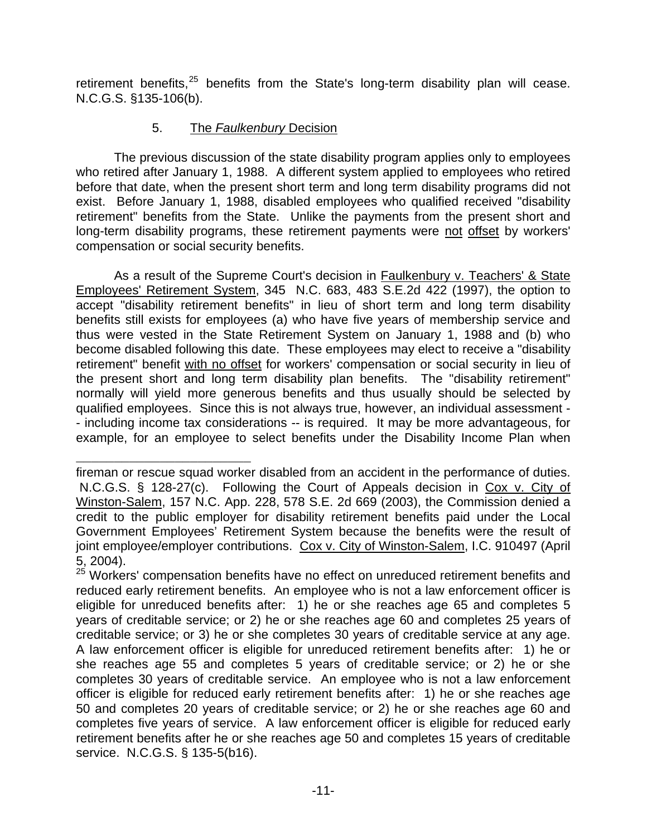<span id="page-11-0"></span>retirement benefits, $25$  benefits from the State's long-term disability plan will cease. N.C.G.S. §135-106(b).

#### 5. The *Faulkenbury* Decision

 The previous discussion of the state disability program applies only to employees who retired after January 1, 1988. A different system applied to employees who retired before that date, when the present short term and long term disability programs did not exist. Before January 1, 1988, disabled employees who qualified received "disability retirement" benefits from the State. Unlike the payments from the present short and long-term disability programs, these retirement payments were not offset by workers' compensation or social security benefits.

 As a result of the Supreme Court's decision in Faulkenbury v. Teachers' & State Employees' Retirement System, 345 N.C. 683, 483 S.E.2d 422 (1997), the option to accept "disability retirement benefits" in lieu of short term and long term disability benefits still exists for employees (a) who have five years of membership service and thus were vested in the State Retirement System on January 1, 1988 and (b) who become disabled following this date. These employees may elect to receive a "disability retirement" benefit with no offset for workers' compensation or social security in lieu of the present short and long term disability plan benefits. The "disability retirement" normally will yield more generous benefits and thus usually should be selected by qualified employees. Since this is not always true, however, an individual assessment - - including income tax considerations -- is required. It may be more advantageous, for example, for an employee to select benefits under the Disability Income Plan when

\_\_\_\_\_\_\_\_\_\_\_\_\_\_\_\_\_\_\_\_\_\_\_ fireman or rescue squad worker disabled from an accident in the performance of duties. N.C.G.S. § 128-27(c). Following the Court of Appeals decision in Cox v. City of Winston-Salem, 157 N.C. App. 228, 578 S.E. 2d 669 (2003), the Commission denied a credit to the public employer for disability retirement benefits paid under the Local Government Employees' Retirement System because the benefits were the result of joint employee/employer contributions. Cox v. City of Winston-Salem, I.C. 910497 (April 5, 2004).

<span id="page-11-1"></span><sup>&</sup>lt;sup>25</sup> Workers' compensation benefits have no effect on unreduced retirement benefits and reduced early retirement benefits. An employee who is not a law enforcement officer is eligible for unreduced benefits after: 1) he or she reaches age 65 and completes 5 years of creditable service; or 2) he or she reaches age 60 and completes 25 years of creditable service; or 3) he or she completes 30 years of creditable service at any age. A law enforcement officer is eligible for unreduced retirement benefits after: 1) he or she reaches age 55 and completes 5 years of creditable service; or 2) he or she completes 30 years of creditable service. An employee who is not a law enforcement officer is eligible for reduced early retirement benefits after: 1) he or she reaches age 50 and completes 20 years of creditable service; or 2) he or she reaches age 60 and completes five years of service. A law enforcement officer is eligible for reduced early retirement benefits after he or she reaches age 50 and completes 15 years of creditable service. N.C.G.S. § 135-5(b16).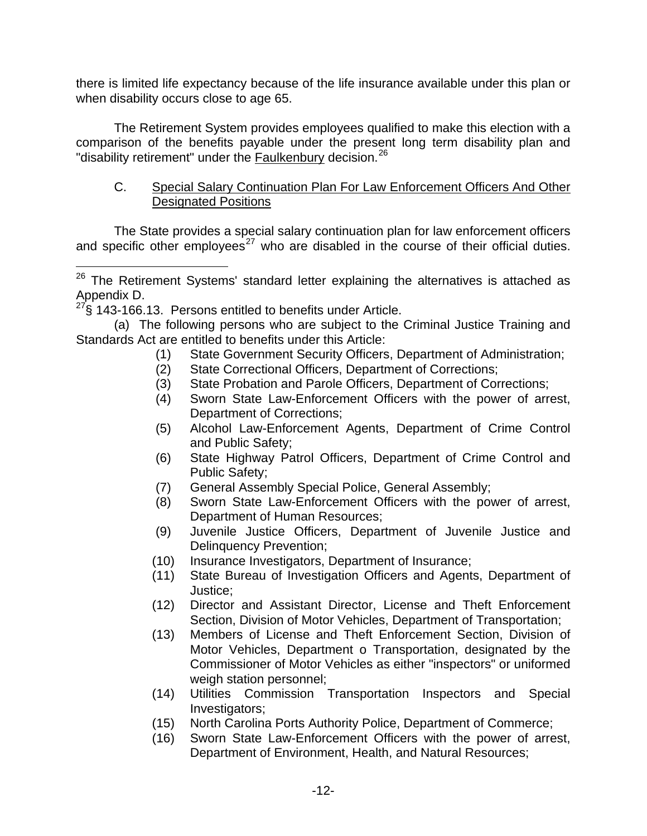<span id="page-12-0"></span>there is limited life expectancy because of the life insurance available under this plan or when disability occurs close to age 65.

 The Retirement System provides employees qualified to make this election with a comparison of the benefits payable under the present long term disability plan and "disability retirement" under the **Faulkenbury** decision.<sup>[26](#page-12-1)</sup>

#### C. Special Salary Continuation Plan For Law Enforcement Officers And Other Designated Positions

 The State provides a special salary continuation plan for law enforcement officers and specific other employees<sup>[27](#page-12-2)</sup> who are disabled in the course of their official duties.

i<br>Li

- (1) State Government Security Officers, Department of Administration;
- (2) State Correctional Officers, Department of Corrections;
- (3) State Probation and Parole Officers, Department of Corrections;
- (4) Sworn State Law-Enforcement Officers with the power of arrest, Department of Corrections;
- (5) Alcohol Law-Enforcement Agents, Department of Crime Control and Public Safety;
- (6) State Highway Patrol Officers, Department of Crime Control and Public Safety;
- (7) General Assembly Special Police, General Assembly;
- (8) Sworn State Law-Enforcement Officers with the power of arrest, Department of Human Resources;
- (9) Juvenile Justice Officers, Department of Juvenile Justice and Delinquency Prevention;
- (10) Insurance Investigators, Department of Insurance;
- (11) State Bureau of Investigation Officers and Agents, Department of Justice;
- (12) Director and Assistant Director, License and Theft Enforcement Section, Division of Motor Vehicles, Department of Transportation;
- (13) Members of License and Theft Enforcement Section, Division of Motor Vehicles, Department o Transportation, designated by the Commissioner of Motor Vehicles as either "inspectors" or uniformed weigh station personnel;
- (14) Utilities Commission Transportation Inspectors and Special Investigators;
- (15) North Carolina Ports Authority Police, Department of Commerce;
- (16) Sworn State Law-Enforcement Officers with the power of arrest, Department of Environment, Health, and Natural Resources;

<span id="page-12-1"></span> $26$  The Retirement Systems' standard letter explaining the alternatives is attached as Appendix D.

<span id="page-12-2"></span><sup>§ 143-166.13.</sup> Persons entitled to benefits under Article.

 <sup>(</sup>a) The following persons who are subject to the Criminal Justice Training and Standards Act are entitled to benefits under this Article: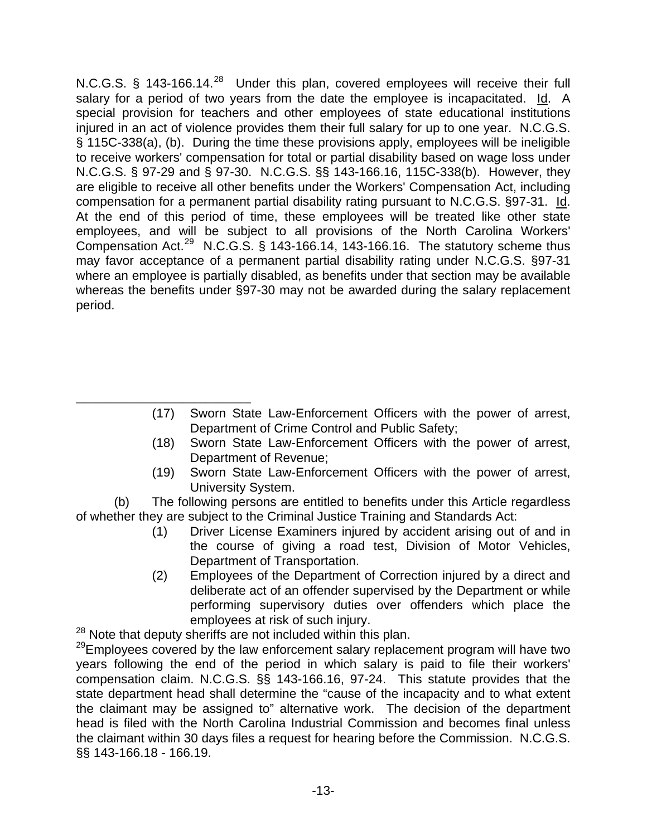N.C.G.S. § 143-166.14.<sup>[28](#page-13-0)</sup> Under this plan, covered employees will receive their full salary for a period of two years from the date the employee is incapacitated. Id. A special provision for teachers and other employees of state educational institutions injured in an act of violence provides them their full salary for up to one year. N.C.G.S. § 115C-338(a), (b). During the time these provisions apply, employees will be ineligible to receive workers' compensation for total or partial disability based on wage loss under N.C.G.S. § 97-29 and § 97-30. N.C.G.S. §§ 143-166.16, 115C-338(b). However, they are eligible to receive all other benefits under the Workers' Compensation Act, including compensation for a permanent partial disability rating pursuant to N.C.G.S. §97-31. Id. At the end of this period of time, these employees will be treated like other state employees, and will be subject to all provisions of the North Carolina Workers' Compensation Act.<sup>[29](#page-13-1)</sup> N.C.G.S. § 143-166.14, 143-166.16. The statutory scheme thus may favor acceptance of a permanent partial disability rating under N.C.G.S. §97-31 where an employee is partially disabled, as benefits under that section may be available whereas the benefits under §97-30 may not be awarded during the salary replacement period.

- \_\_\_\_\_\_\_\_\_\_\_\_\_\_\_\_\_\_\_\_\_\_\_ (17) Sworn State Law-Enforcement Officers with the power of arrest, Department of Crime Control and Public Safety;
	- (18) Sworn State Law-Enforcement Officers with the power of arrest, Department of Revenue;
	- (19) Sworn State Law-Enforcement Officers with the power of arrest, University System.

 (b) The following persons are entitled to benefits under this Article regardless of whether they are subject to the Criminal Justice Training and Standards Act:

- (1) Driver License Examiners injured by accident arising out of and in the course of giving a road test, Division of Motor Vehicles, Department of Transportation.
- (2) Employees of the Department of Correction injured by a direct and deliberate act of an offender supervised by the Department or while performing supervisory duties over offenders which place the employees at risk of such injury.

<span id="page-13-0"></span> $28$  Note that deputy sheriffs are not included within this plan.

<span id="page-13-1"></span><sup>29</sup>Employees covered by the law enforcement salary replacement program will have two years following the end of the period in which salary is paid to file their workers' compensation claim. N.C.G.S. §§ 143-166.16, 97-24. This statute provides that the state department head shall determine the "cause of the incapacity and to what extent the claimant may be assigned to" alternative work. The decision of the department head is filed with the North Carolina Industrial Commission and becomes final unless the claimant within 30 days files a request for hearing before the Commission. N.C.G.S. §§ 143-166.18 - 166.19.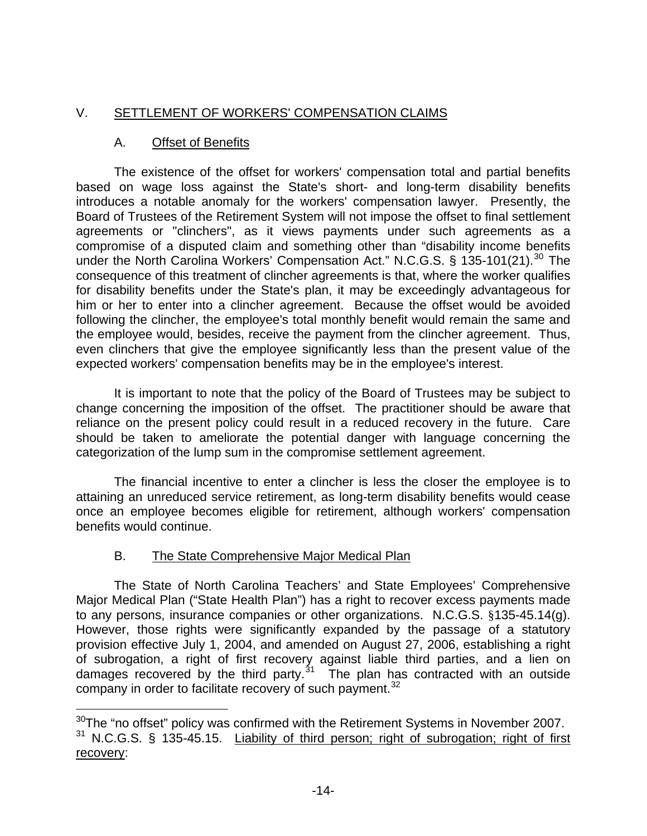# <span id="page-14-0"></span>V. SETTLEMENT OF WORKERS' COMPENSATION CLAIMS

## A. Offset of Benefits

 The existence of the offset for workers' compensation total and partial benefits based on wage loss against the State's short- and long-term disability benefits introduces a notable anomaly for the workers' compensation lawyer. Presently, the Board of Trustees of the Retirement System will not impose the offset to final settlement agreements or "clinchers", as it views payments under such agreements as a compromise of a disputed claim and something other than "disability income benefits under the North Carolina Workers' Compensation Act." N.C.G.S. § 135-101(21).<sup>[30](#page-14-1)</sup> The consequence of this treatment of clincher agreements is that, where the worker qualifies for disability benefits under the State's plan, it may be exceedingly advantageous for him or her to enter into a clincher agreement. Because the offset would be avoided following the clincher, the employee's total monthly benefit would remain the same and the employee would, besides, receive the payment from the clincher agreement. Thus, even clinchers that give the employee significantly less than the present value of the expected workers' compensation benefits may be in the employee's interest.

 It is important to note that the policy of the Board of Trustees may be subject to change concerning the imposition of the offset. The practitioner should be aware that reliance on the present policy could result in a reduced recovery in the future. Care should be taken to ameliorate the potential danger with language concerning the categorization of the lump sum in the compromise settlement agreement.

 The financial incentive to enter a clincher is less the closer the employee is to attaining an unreduced service retirement, as long-term disability benefits would cease once an employee becomes eligible for retirement, although workers' compensation benefits would continue.

# B. The State Comprehensive Major Medical Plan

 The State of North Carolina Teachers' and State Employees' Comprehensive Major Medical Plan ("State Health Plan") has a right to recover excess payments made to any persons, insurance companies or other organizations. N.C.G.S. §135-45.14(g). However, those rights were significantly expanded by the passage of a statutory provision effective July 1, 2004, and amended on August 27, 2006, establishing a right of subrogation, a right of first recovery against liable third parties, and a lien on damages recovered by the third party.<sup>[31](#page-14-2)</sup> The plan has contracted with an outside company in order to facilitate recovery of such payment. $32$ 

<span id="page-14-3"></span><span id="page-14-2"></span><span id="page-14-1"></span>i  $30$ The "no offset" policy was confirmed with the Retirement Systems in November 2007. <sup>31</sup> N.C.G.S. § 135-45.15. Liability of third person; right of subrogation; right of first recovery: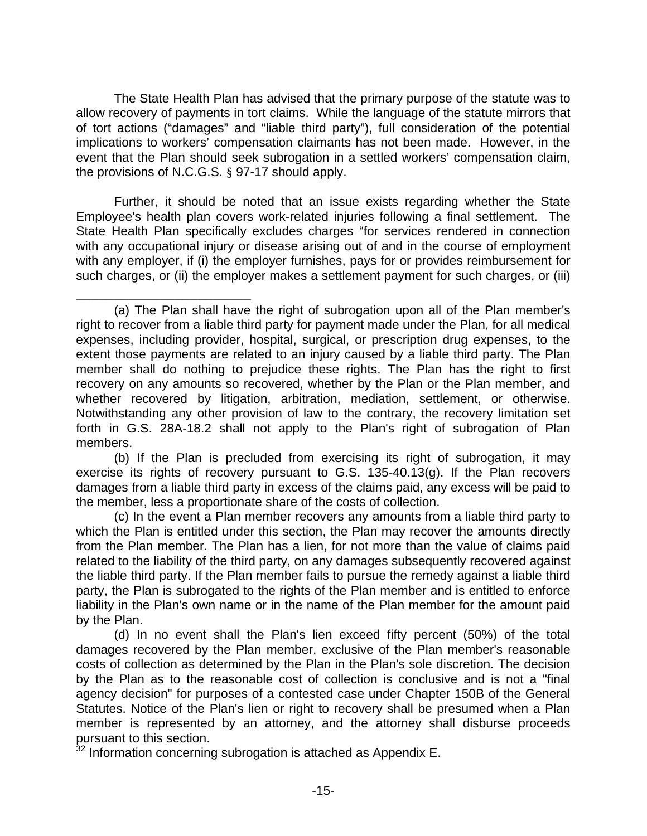The State Health Plan has advised that the primary purpose of the statute was to allow recovery of payments in tort claims. While the language of the statute mirrors that of tort actions ("damages" and "liable third party"), full consideration of the potential implications to workers' compensation claimants has not been made. However, in the event that the Plan should seek subrogation in a settled workers' compensation claim, the provisions of N.C.G.S. § 97-17 should apply.

 Further, it should be noted that an issue exists regarding whether the State Employee's health plan covers work-related injuries following a final settlement. The State Health Plan specifically excludes charges "for services rendered in connection with any occupational injury or disease arising out of and in the course of employment with any employer, if (i) the employer furnishes, pays for or provides reimbursement for such charges, or (ii) the employer makes a settlement payment for such charges, or (iii)

(b) If the Plan is precluded from exercising its right of subrogation, it may exercise its rights of recovery pursuant to G.S. 135-40.13(g). If the Plan recovers damages from a liable third party in excess of the claims paid, any excess will be paid to the member, less a proportionate share of the costs of collection.

(c) In the event a Plan member recovers any amounts from a liable third party to which the Plan is entitled under this section, the Plan may recover the amounts directly from the Plan member. The Plan has a lien, for not more than the value of claims paid related to the liability of the third party, on any damages subsequently recovered against the liable third party. If the Plan member fails to pursue the remedy against a liable third party, the Plan is subrogated to the rights of the Plan member and is entitled to enforce liability in the Plan's own name or in the name of the Plan member for the amount paid by the Plan.

(d) In no event shall the Plan's lien exceed fifty percent (50%) of the total damages recovered by the Plan member, exclusive of the Plan member's reasonable costs of collection as determined by the Plan in the Plan's sole discretion. The decision by the Plan as to the reasonable cost of collection is conclusive and is not a "final agency decision" for purposes of a contested case under Chapter 150B of the General Statutes. Notice of the Plan's lien or right to recovery shall be presumed when a Plan member is represented by an attorney, and the attorney shall disburse proceeds pursuant to this section.

32 Information concerning subrogation is attached as Appendix E.

\_\_\_\_\_\_\_\_\_\_\_\_\_\_\_\_\_\_\_\_\_\_\_ (a) The Plan shall have the right of subrogation upon all of the Plan member's right to recover from a liable third party for payment made under the Plan, for all medical expenses, including provider, hospital, surgical, or prescription drug expenses, to the extent those payments are related to an injury caused by a liable third party. The Plan member shall do nothing to prejudice these rights. The Plan has the right to first recovery on any amounts so recovered, whether by the Plan or the Plan member, and whether recovered by litigation, arbitration, mediation, settlement, or otherwise. Notwithstanding any other provision of law to the contrary, the recovery limitation set forth in G.S. 28A-18.2 shall not apply to the Plan's right of subrogation of Plan members.